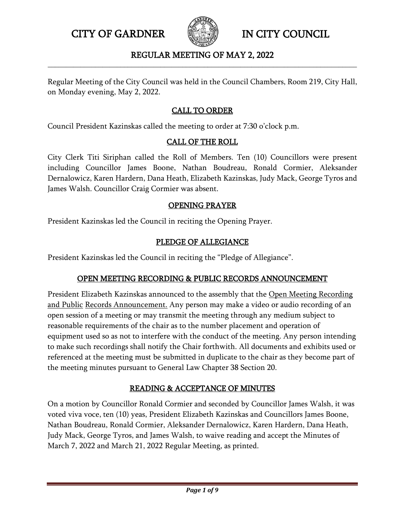

### REGULAR MEETING OF MAY 2, 2022 **\_\_\_\_\_\_\_\_\_\_\_\_\_\_\_\_\_\_\_\_\_\_\_\_\_\_\_\_\_\_\_\_\_\_\_\_\_\_\_\_\_\_\_\_\_\_\_\_\_\_\_\_\_\_\_\_\_\_\_\_\_\_\_\_\_\_\_\_\_\_\_\_\_\_\_\_\_\_\_\_\_\_\_\_\_**

Regular Meeting of the City Council was held in the Council Chambers, Room 219, City Hall, on Monday evening, May 2, 2022.

## CALL TO ORDER

Council President Kazinskas called the meeting to order at 7:30 o'clock p.m.

#### CALL OF THE ROLL

City Clerk Titi Siriphan called the Roll of Members. Ten (10) Councillors were present including Councillor James Boone, Nathan Boudreau, Ronald Cormier, Aleksander Dernalowicz, Karen Hardern, Dana Heath, Elizabeth Kazinskas, Judy Mack, George Tyros and James Walsh. Councillor Craig Cormier was absent.

#### OPENING PRAYER

President Kazinskas led the Council in reciting the Opening Prayer.

### PLEDGE OF ALLEGIANCE

President Kazinskas led the Council in reciting the "Pledge of Allegiance".

### OPEN MEETING RECORDING & PUBLIC RECORDS ANNOUNCEMENT

President Elizabeth Kazinskas announced to the assembly that the Open Meeting Recording and Public Records Announcement. Any person may make a video or audio recording of an open session of a meeting or may transmit the meeting through any medium subject to reasonable requirements of the chair as to the number placement and operation of equipment used so as not to interfere with the conduct of the meeting. Any person intending to make such recordings shall notify the Chair forthwith. All documents and exhibits used or referenced at the meeting must be submitted in duplicate to the chair as they become part of the meeting minutes pursuant to General Law Chapter 38 Section 20.

## READING & ACCEPTANCE OF MINUTES

On a motion by Councillor Ronald Cormier and seconded by Councillor James Walsh, it was voted viva voce, ten (10) yeas, President Elizabeth Kazinskas and Councillors James Boone, Nathan Boudreau, Ronald Cormier, Aleksander Dernalowicz, Karen Hardern, Dana Heath, Judy Mack, George Tyros, and James Walsh, to waive reading and accept the Minutes of March 7, 2022 and March 21, 2022 Regular Meeting, as printed.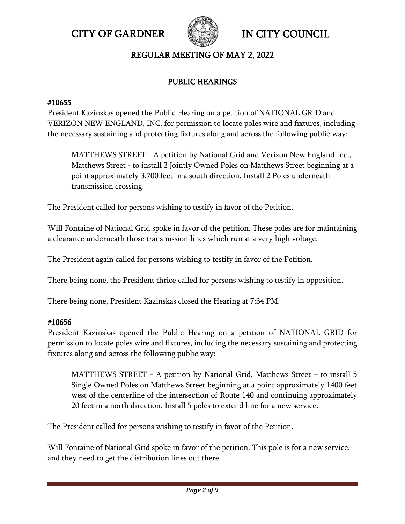

### REGULAR MEETING OF MAY 2, 2022 **\_\_\_\_\_\_\_\_\_\_\_\_\_\_\_\_\_\_\_\_\_\_\_\_\_\_\_\_\_\_\_\_\_\_\_\_\_\_\_\_\_\_\_\_\_\_\_\_\_\_\_\_\_\_\_\_\_\_\_\_\_\_\_\_\_\_\_\_\_\_\_\_\_\_\_\_\_\_\_\_\_\_\_\_\_**

## PUBLIC HEARINGS

## #10655

President Kazinskas opened the Public Hearing on a petition of NATIONAL GRID and VERIZON NEW ENGLAND, INC. for permission to locate poles wire and fixtures, including the necessary sustaining and protecting fixtures along and across the following public way:

MATTHEWS STREET - A petition by National Grid and Verizon New England Inc., Matthews Street - to install 2 Jointly Owned Poles on Matthews Street beginning at a point approximately 3,700 feet in a south direction. Install 2 Poles underneath transmission crossing.

The President called for persons wishing to testify in favor of the Petition.

Will Fontaine of National Grid spoke in favor of the petition. These poles are for maintaining a clearance underneath those transmission lines which run at a very high voltage.

The President again called for persons wishing to testify in favor of the Petition.

There being none, the President thrice called for persons wishing to testify in opposition.

There being none, President Kazinskas closed the Hearing at 7:34 PM.

## #10656

President Kazinskas opened the Public Hearing on a petition of NATIONAL GRID for permission to locate poles wire and fixtures, including the necessary sustaining and protecting fixtures along and across the following public way:

MATTHEWS STREET - A petition by National Grid, Matthews Street – to install 5 Single Owned Poles on Matthews Street beginning at a point approximately 1400 feet west of the centerline of the intersection of Route 140 and continuing approximately 20 feet in a north direction. Install 5 poles to extend line for a new service.

The President called for persons wishing to testify in favor of the Petition.

Will Fontaine of National Grid spoke in favor of the petition. This pole is for a new service, and they need to get the distribution lines out there.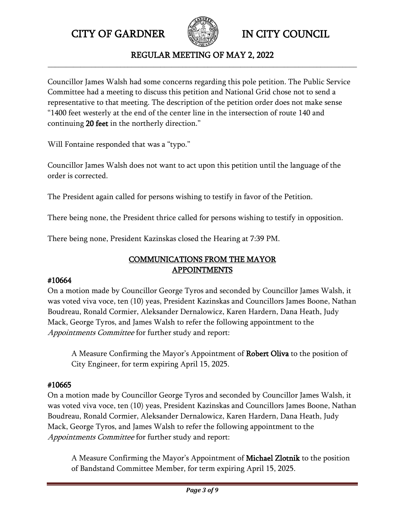

REGULAR MEETING OF MAY 2, 2022 **\_\_\_\_\_\_\_\_\_\_\_\_\_\_\_\_\_\_\_\_\_\_\_\_\_\_\_\_\_\_\_\_\_\_\_\_\_\_\_\_\_\_\_\_\_\_\_\_\_\_\_\_\_\_\_\_\_\_\_\_\_\_\_\_\_\_\_\_\_\_\_\_\_\_\_\_\_\_\_\_\_\_\_\_\_**

Councillor James Walsh had some concerns regarding this pole petition. The Public Service Committee had a meeting to discuss this petition and National Grid chose not to send a representative to that meeting. The description of the petition order does not make sense "1400 feet westerly at the end of the center line in the intersection of route 140 and continuing 20 feet in the northerly direction."

Will Fontaine responded that was a "typo."

Councillor James Walsh does not want to act upon this petition until the language of the order is corrected.

The President again called for persons wishing to testify in favor of the Petition.

There being none, the President thrice called for persons wishing to testify in opposition.

There being none, President Kazinskas closed the Hearing at 7:39 PM.

# COMMUNICATIONS FROM THE MAYOR APPOINTMENTS

### #10664

On a motion made by Councillor George Tyros and seconded by Councillor James Walsh, it was voted viva voce, ten (10) yeas, President Kazinskas and Councillors James Boone, Nathan Boudreau, Ronald Cormier, Aleksander Dernalowicz, Karen Hardern, Dana Heath, Judy Mack, George Tyros, and James Walsh to refer the following appointment to the Appointments Committee for further study and report:

A Measure Confirming the Mayor's Appointment of Robert Oliva to the position of City Engineer, for term expiring April 15, 2025.

## #10665

On a motion made by Councillor George Tyros and seconded by Councillor James Walsh, it was voted viva voce, ten (10) yeas, President Kazinskas and Councillors James Boone, Nathan Boudreau, Ronald Cormier, Aleksander Dernalowicz, Karen Hardern, Dana Heath, Judy Mack, George Tyros, and James Walsh to refer the following appointment to the Appointments Committee for further study and report:

A Measure Confirming the Mayor's Appointment of Michael Zlotnik to the position of Bandstand Committee Member, for term expiring April 15, 2025.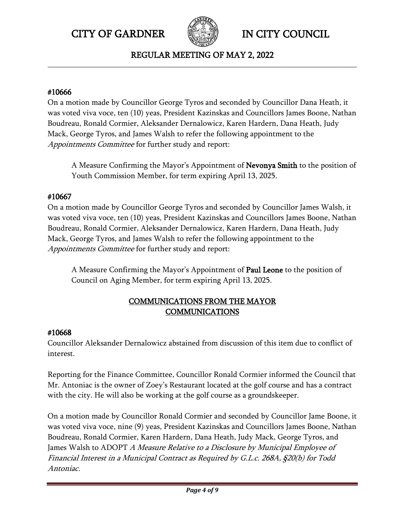

REGULAR MEETING OF MAY 2, 2022 **\_\_\_\_\_\_\_\_\_\_\_\_\_\_\_\_\_\_\_\_\_\_\_\_\_\_\_\_\_\_\_\_\_\_\_\_\_\_\_\_\_\_\_\_\_\_\_\_\_\_\_\_\_\_\_\_\_\_\_\_\_\_\_\_\_\_\_\_\_\_\_\_\_\_\_\_\_\_\_\_\_\_\_\_\_**

### #10666

On a motion made by Councillor George Tyros and seconded by Councillor Dana Heath, it was voted viva voce, ten (10) yeas, President Kazinskas and Councillors James Boone, Nathan Boudreau, Ronald Cormier, Aleksander Dernalowicz, Karen Hardern, Dana Heath, Judy Mack, George Tyros, and James Walsh to refer the following appointment to the Appointments Committee for further study and report:

A Measure Confirming the Mayor's Appointment of Nevonya Smith to the position of Youth Commission Member, for term expiring April 13, 2025.

# #10667

On a motion made by Councillor George Tyros and seconded by Councillor James Walsh, it was voted viva voce, ten (10) yeas, President Kazinskas and Councillors James Boone, Nathan Boudreau, Ronald Cormier, Aleksander Dernalowicz, Karen Hardern, Dana Heath, Judy Mack, George Tyros, and James Walsh to refer the following appointment to the Appointments Committee for further study and report:

A Measure Confirming the Mayor's Appointment of Paul Leone to the position of Council on Aging Member, for term expiring April 13, 2025.

# COMMUNICATIONS FROM THE MAYOR **COMMUNICATIONS**

## #10668

Councillor Aleksander Dernalowicz abstained from discussion of this item due to conflict of interest.

Reporting for the Finance Committee, Councillor Ronald Cormier informed the Council that Mr. Antoniac is the owner of Zoey's Restaurant located at the golf course and has a contract with the city. He will also be working at the golf course as a groundskeeper.

On a motion made by Councillor Ronald Cormier and seconded by Councillor Jame Boone, it was voted viva voce, nine (9) yeas, President Kazinskas and Councillors James Boone, Nathan Boudreau, Ronald Cormier, Karen Hardern, Dana Heath, Judy Mack, George Tyros, and James Walsh to ADOPT A Measure Relative to a Disclosure by Municipal Employee of Financial Interest in a Municipal Contract as Required by G.L.c. 268A, §20(b) for Todd Antoniac.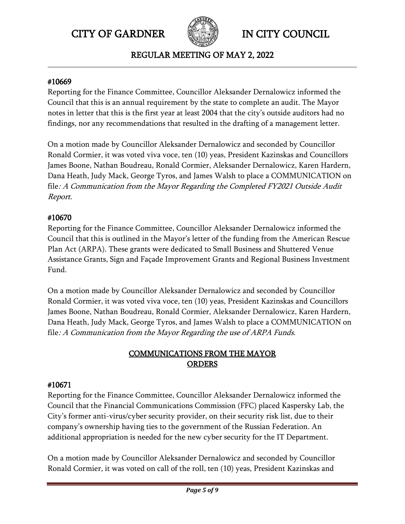

REGULAR MEETING OF MAY 2, 2022 **\_\_\_\_\_\_\_\_\_\_\_\_\_\_\_\_\_\_\_\_\_\_\_\_\_\_\_\_\_\_\_\_\_\_\_\_\_\_\_\_\_\_\_\_\_\_\_\_\_\_\_\_\_\_\_\_\_\_\_\_\_\_\_\_\_\_\_\_\_\_\_\_\_\_\_\_\_\_\_\_\_\_\_\_\_**

#### #10669

Reporting for the Finance Committee, Councillor Aleksander Dernalowicz informed the Council that this is an annual requirement by the state to complete an audit. The Mayor notes in letter that this is the first year at least 2004 that the city's outside auditors had no findings, nor any recommendations that resulted in the drafting of a management letter.

On a motion made by Councillor Aleksander Dernalowicz and seconded by Councillor Ronald Cormier, it was voted viva voce, ten (10) yeas, President Kazinskas and Councillors James Boone, Nathan Boudreau, Ronald Cormier, Aleksander Dernalowicz, Karen Hardern, Dana Heath, Judy Mack, George Tyros, and James Walsh to place a COMMUNICATION on file: A Communication from the Mayor Regarding the Completed FY2021 Outside Audit Report.

## #10670

Reporting for the Finance Committee, Councillor Aleksander Dernalowicz informed the Council that this is outlined in the Mayor's letter of the funding from the American Rescue Plan Act (ARPA). These grants were dedicated to Small Business and Shuttered Venue Assistance Grants, Sign and Façade Improvement Grants and Regional Business Investment Fund.

On a motion made by Councillor Aleksander Dernalowicz and seconded by Councillor Ronald Cormier, it was voted viva voce, ten (10) yeas, President Kazinskas and Councillors James Boone, Nathan Boudreau, Ronald Cormier, Aleksander Dernalowicz, Karen Hardern, Dana Heath, Judy Mack, George Tyros, and James Walsh to place a COMMUNICATION on file: A Communication from the Mayor Regarding the use of ARPA Funds.

## COMMUNICATIONS FROM THE MAYOR ORDERS

### #10671

Reporting for the Finance Committee, Councillor Aleksander Dernalowicz informed the Council that the Financial Communications Commission (FFC) placed Kaspersky Lab, the City's former anti-virus/cyber security provider, on their security risk list, due to their company's ownership having ties to the government of the Russian Federation. An additional appropriation is needed for the new cyber security for the IT Department.

On a motion made by Councillor Aleksander Dernalowicz and seconded by Councillor Ronald Cormier, it was voted on call of the roll, ten (10) yeas, President Kazinskas and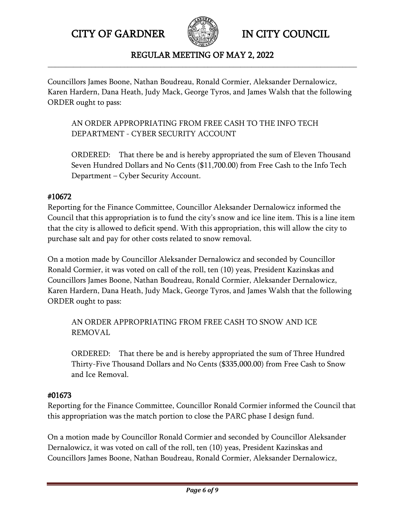

#### REGULAR MEETING OF MAY 2, 2022 **\_\_\_\_\_\_\_\_\_\_\_\_\_\_\_\_\_\_\_\_\_\_\_\_\_\_\_\_\_\_\_\_\_\_\_\_\_\_\_\_\_\_\_\_\_\_\_\_\_\_\_\_\_\_\_\_\_\_\_\_\_\_\_\_\_\_\_\_\_\_\_\_\_\_\_\_\_\_\_\_\_\_\_\_\_**

Councillors James Boone, Nathan Boudreau, Ronald Cormier, Aleksander Dernalowicz, Karen Hardern, Dana Heath, Judy Mack, George Tyros, and James Walsh that the following ORDER ought to pass:

AN ORDER APPROPRIATING FROM FREE CASH TO THE INFO TECH DEPARTMENT - CYBER SECURITY ACCOUNT

ORDERED: That there be and is hereby appropriated the sum of Eleven Thousand Seven Hundred Dollars and No Cents (\$11,700.00) from Free Cash to the Info Tech Department – Cyber Security Account.

## #10672

Reporting for the Finance Committee, Councillor Aleksander Dernalowicz informed the Council that this appropriation is to fund the city's snow and ice line item. This is a line item that the city is allowed to deficit spend. With this appropriation, this will allow the city to purchase salt and pay for other costs related to snow removal.

On a motion made by Councillor Aleksander Dernalowicz and seconded by Councillor Ronald Cormier, it was voted on call of the roll, ten (10) yeas, President Kazinskas and Councillors James Boone, Nathan Boudreau, Ronald Cormier, Aleksander Dernalowicz, Karen Hardern, Dana Heath, Judy Mack, George Tyros, and James Walsh that the following ORDER ought to pass:

AN ORDER APPROPRIATING FROM FREE CASH TO SNOW AND ICE REMOVAL

ORDERED: That there be and is hereby appropriated the sum of Three Hundred Thirty-Five Thousand Dollars and No Cents (\$335,000.00) from Free Cash to Snow and Ice Removal.

## #01673

Reporting for the Finance Committee, Councillor Ronald Cormier informed the Council that this appropriation was the match portion to close the PARC phase I design fund.

On a motion made by Councillor Ronald Cormier and seconded by Councillor Aleksander Dernalowicz, it was voted on call of the roll, ten (10) yeas, President Kazinskas and Councillors James Boone, Nathan Boudreau, Ronald Cormier, Aleksander Dernalowicz,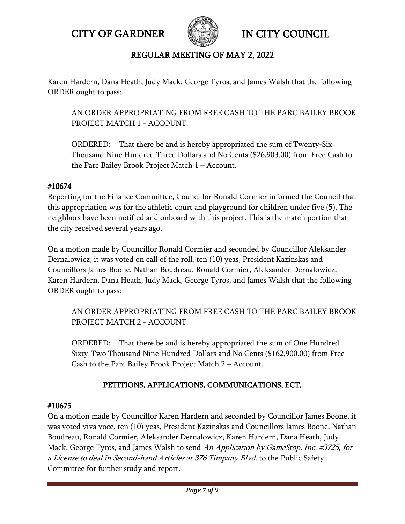

### REGULAR MEETING OF MAY 2, 2022 **\_\_\_\_\_\_\_\_\_\_\_\_\_\_\_\_\_\_\_\_\_\_\_\_\_\_\_\_\_\_\_\_\_\_\_\_\_\_\_\_\_\_\_\_\_\_\_\_\_\_\_\_\_\_\_\_\_\_\_\_\_\_\_\_\_\_\_\_\_\_\_\_\_\_\_\_\_\_\_\_\_\_\_\_\_**

Karen Hardern, Dana Heath, Judy Mack, George Tyros, and James Walsh that the following ORDER ought to pass:

AN ORDER APPROPRIATING FROM FREE CASH TO THE PARC BAILEY BROOK PROJECT MATCH 1 - ACCOUNT.

ORDERED: That there be and is hereby appropriated the sum of Twenty-Six Thousand Nine Hundred Three Dollars and No Cents (\$26,903.00) from Free Cash to the Parc Bailey Brook Project Match 1 – Account.

### #10674

Reporting for the Finance Committee, Councillor Ronald Cormier informed the Council that this appropriation was for the athletic court and playground for children under five (5). The neighbors have been notified and onboard with this project. This is the match portion that the city received several years ago.

On a motion made by Councillor Ronald Cormier and seconded by Councillor Aleksander Dernalowicz, it was voted on call of the roll, ten (10) yeas, President Kazinskas and Councillors James Boone, Nathan Boudreau, Ronald Cormier, Aleksander Dernalowicz, Karen Hardern, Dana Heath, Judy Mack, George Tyros, and James Walsh that the following ORDER ought to pass:

AN ORDER APPROPRIATING FROM FREE CASH TO THE PARC BAILEY BROOK PROJECT MATCH 2 - ACCOUNT.

ORDERED: That there be and is hereby appropriated the sum of One Hundred Sixty-Two Thousand Nine Hundred Dollars and No Cents (\$162,900.00) from Free Cash to the Parc Bailey Brook Project Match 2 – Account.

# PETITIONS, APPLICATIONS, COMMUNICATIONS, ECT.

## #10675

On a motion made by Councillor Karen Hardern and seconded by Councillor James Boone, it was voted viva voce, ten (10) yeas, President Kazinskas and Councillors James Boone, Nathan Boudreau, Ronald Cormier, Aleksander Dernalowicz, Karen Hardern, Dana Heath, Judy Mack, George Tyros, and James Walsh to send An Application by GameStop, Inc. #3725, for a License to deal in Second-hand Articles at 376 Timpany Blvd. to the Public Safety Committee for further study and report.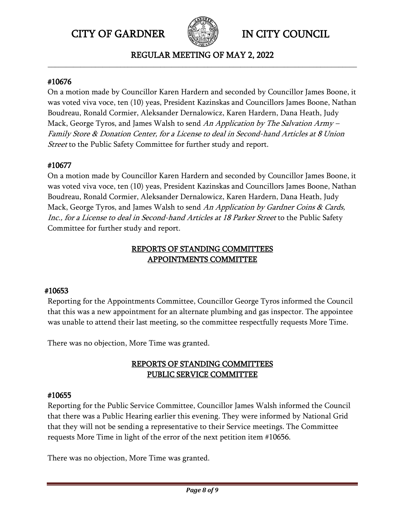

REGULAR MEETING OF MAY 2, 2022 **\_\_\_\_\_\_\_\_\_\_\_\_\_\_\_\_\_\_\_\_\_\_\_\_\_\_\_\_\_\_\_\_\_\_\_\_\_\_\_\_\_\_\_\_\_\_\_\_\_\_\_\_\_\_\_\_\_\_\_\_\_\_\_\_\_\_\_\_\_\_\_\_\_\_\_\_\_\_\_\_\_\_\_\_\_**

#### #10676

On a motion made by Councillor Karen Hardern and seconded by Councillor James Boone, it was voted viva voce, ten (10) yeas, President Kazinskas and Councillors James Boone, Nathan Boudreau, Ronald Cormier, Aleksander Dernalowicz, Karen Hardern, Dana Heath, Judy Mack, George Tyros, and James Walsh to send An Application by The Salvation Army -Family Store & Donation Center, for a License to deal in Second-hand Articles at 8 Union *Street* to the Public Safety Committee for further study and report.

## #10677

On a motion made by Councillor Karen Hardern and seconded by Councillor James Boone, it was voted viva voce, ten (10) yeas, President Kazinskas and Councillors James Boone, Nathan Boudreau, Ronald Cormier, Aleksander Dernalowicz, Karen Hardern, Dana Heath, Judy Mack, George Tyros, and James Walsh to send An Application by Gardner Coins & Cards, Inc., for a License to deal in Second-hand Articles at 18 Parker Street to the Public Safety Committee for further study and report.

## REPORTS OF STANDING COMMITTEES APPOINTMENTS COMMITTEE

## #10653

Reporting for the Appointments Committee, Councillor George Tyros informed the Council that this was a new appointment for an alternate plumbing and gas inspector. The appointee was unable to attend their last meeting, so the committee respectfully requests More Time.

There was no objection, More Time was granted.

## REPORTS OF STANDING COMMITTEES PUBLIC SERVICE COMMITTEE

### #10655

Reporting for the Public Service Committee, Councillor James Walsh informed the Council that there was a Public Hearing earlier this evening. They were informed by National Grid that they will not be sending a representative to their Service meetings. The Committee requests More Time in light of the error of the next petition item #10656.

There was no objection, More Time was granted.